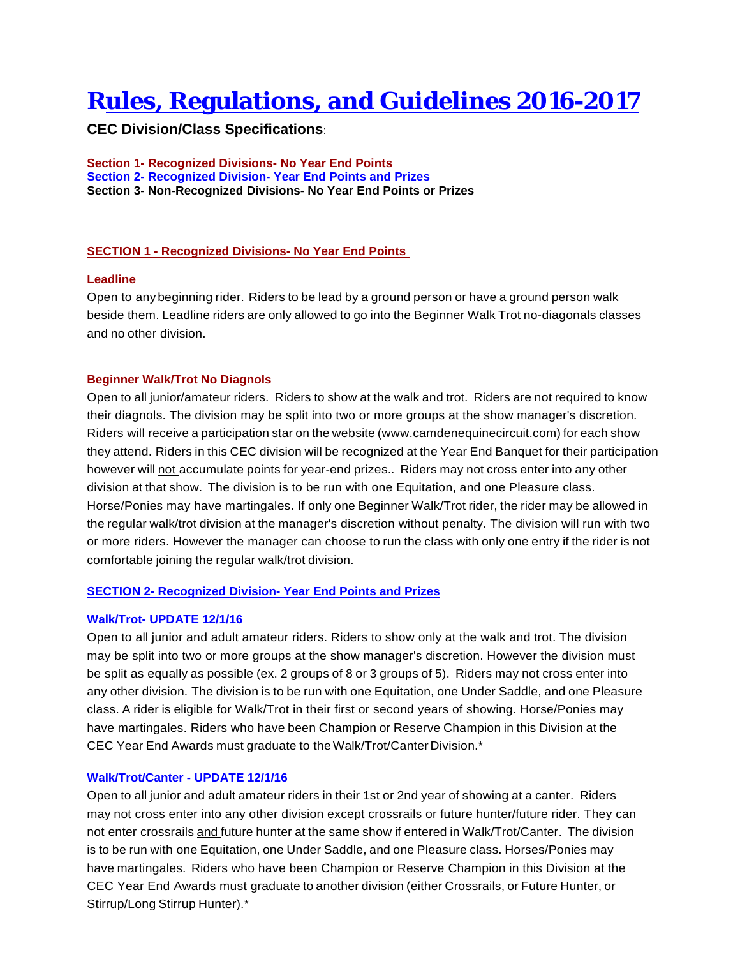# **Rules, Regulations, and Guidelines 2016-2017**

# **CEC Division/Class Specifications**:

**Section 1- Recognized Divisions- No Year End Points Section 2- Recognized Division- Year End Points and Prizes Section 3- Non-Recognized Divisions- No Year End Points or Prizes**

## **SECTION 1 - Recognized Divisions- No Year End Points**

## **Leadline**

Open to any beginning rider. Riders to be lead by a ground person or have a ground person walk beside them. Leadline riders are only allowed to go into the Beginner Walk Trot no-diagonals classes and no other division.

## **Beginner Walk/Trot No Diagnols**

Open to all junior/amateur riders. Riders to show at the walk and trot. Riders are not required to know their diagnols. The division may be split into two or more groups at the show manager's discretion. Riders will receive a participation star on the website (www.camdenequinecircuit.com) for each show they attend. Riders in this CEC division will be recognized at the Year End Banquet for their participation however will not accumulate points for year-end prizes.. Riders may not cross enter into any other division at that show. The division is to be run with one Equitation, and one Pleasure class. Horse/Ponies may have martingales. If only one Beginner Walk/Trot rider, the rider may be allowed in the regular walk/trot division at the manager's discretion without penalty. The division will run with two or more riders. However the manager can choose to run the class with only one entry if the rider is not comfortable joining the regular walk/trot division.

## **SECTION 2- Recognized Division- Year End Points and Prizes**

## **Walk/Trot- UPDATE 12/1/16**

Open to all junior and adult amateur riders. Riders to show only at the walk and trot. The division may be split into two or more groups at the show manager's discretion. However the division must be split as equally as possible (ex. 2 groups of 8 or 3 groups of 5). Riders may not cross enter into any other division. The division is to be run with one Equitation, one Under Saddle, and one Pleasure class. A rider is eligible for Walk/Trot in their first or second years of showing. Horse/Ponies may have martingales. Riders who have been Champion or Reserve Champion in this Division at the CEC Year End Awards must graduate to the Walk/Trot/Canter Division.\*

# **Walk/Trot/Canter - UPDATE 12/1/16**

Open to all junior and adult amateur riders in their 1st or 2nd year of showing at a canter. Riders may not cross enter into any other division except crossrails or future hunter/future rider. They can not enter crossrails and future hunter at the same show if entered in Walk/Trot/Canter. The division is to be run with one Equitation, one Under Saddle, and one Pleasure class. Horses/Ponies may have martingales. Riders who have been Champion or Reserve Champion in this Division at the CEC Year End Awards must graduate to another division (either Crossrails, or Future Hunter, or Stirrup/Long Stirrup Hunter).\*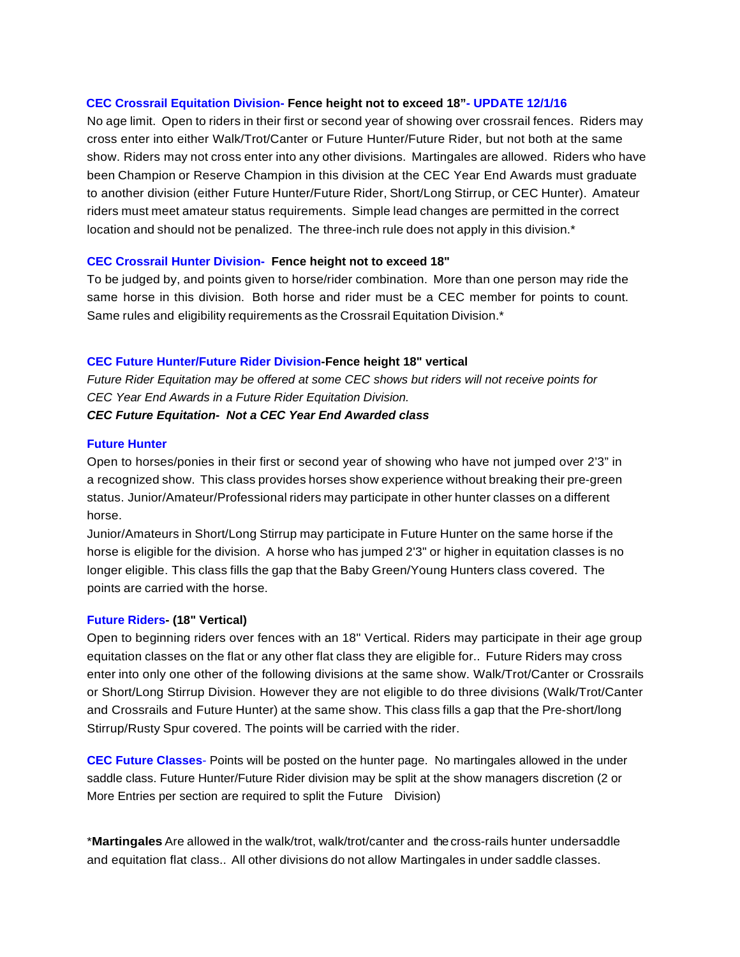## **CEC Crossrail Equitation Division- Fence height not to exceed 18"- UPDATE 12/1/16**

No age limit. Open to riders in their first or second year of showing over crossrail fences. Riders may cross enter into either Walk/Trot/Canter or Future Hunter/Future Rider, but not both at the same show. Riders may not cross enter into any other divisions. Martingales are allowed. Riders who have been Champion or Reserve Champion in this division at the CEC Year End Awards must graduate to another division (either Future Hunter/Future Rider, Short/Long Stirrup, or CEC Hunter). Amateur riders must meet amateur status requirements. Simple lead changes are permitted in the correct location and should not be penalized. The three-inch rule does not apply in this division.<sup>\*</sup>

#### **CEC Crossrail Hunter Division- Fence height not to exceed 18"**

To be judged by, and points given to horse/rider combination. More than one person may ride the same horse in this division. Both horse and rider must be a CEC member for points to count. Same rules and eligibility requirements as the Crossrail Equitation Division.\*

#### **CEC Future Hunter/Future Rider Division-Fence height 18" vertical**

*Future Rider Equitation may be offered at some CEC shows but riders will not receive points for CEC Year End Awards in a Future Rider Equitation Division.*

## *CEC Future Equitation- Not a CEC Year End Awarded class*

#### **Future Hunter**

Open to horses/ponies in their first or second year of showing who have not jumped over 2'3" in a recognized show. This class provides horses show experience without breaking their pre-green status. Junior/Amateur/Professional riders may participate in other hunter classes on a different horse.

Junior/Amateurs in Short/Long Stirrup may participate in Future Hunter on the same horse if the horse is eligible for the division. A horse who has jumped 2'3" or higher in equitation classes is no longer eligible. This class fills the gap that the Baby Green/Young Hunters class covered. The points are carried with the horse.

#### **Future Riders- (18" Vertical)**

Open to beginning riders over fences with an 18" Vertical. Riders may participate in their age group equitation classes on the flat or any other flat class they are eligible for.. Future Riders may cross enter into only one other of the following divisions at the same show. Walk/Trot/Canter or Crossrails or Short/Long Stirrup Division. However they are not eligible to do three divisions (Walk/Trot/Canter and Crossrails and Future Hunter) at the same show. This class fills a gap that the Pre-short/long Stirrup/Rusty Spur covered. The points will be carried with the rider.

**CEC Future Classes**- Points will be posted on the hunter page. No martingales allowed in the under saddle class. Future Hunter/Future Rider division may be split at the show managers discretion (2 or More Entries per section are required to split the Future Division)

\***Martingales** Are allowed in the walk/trot, walk/trot/canter and the cross-rails hunter undersaddle and equitation flat class.. All other divisions do not allow Martingales in under saddle classes.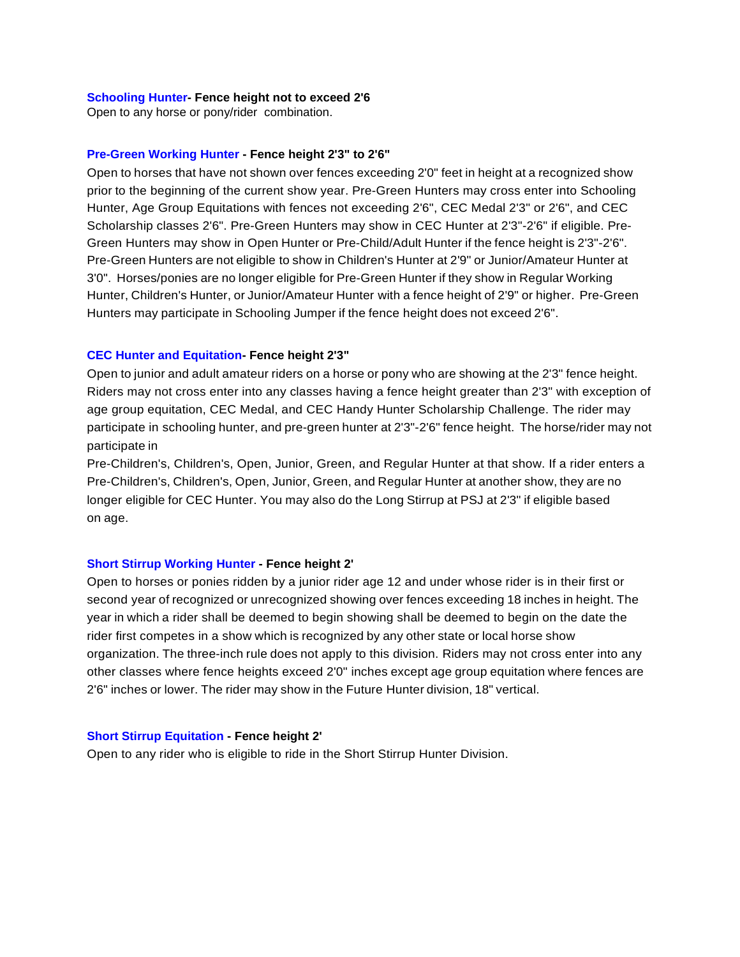#### **Schooling Hunter- Fence height not to exceed 2'6**

Open to any horse or pony/rider combination.

#### **Pre-Green Working Hunter - Fence height 2'3" to 2'6"**

Open to horses that have not shown over fences exceeding 2'0" feet in height at a recognized show prior to the beginning of the current show year. Pre-Green Hunters may cross enter into Schooling Hunter, Age Group Equitations with fences not exceeding 2'6", CEC Medal 2'3" or 2'6", and CEC Scholarship classes 2'6". Pre-Green Hunters may show in CEC Hunter at 2'3"-2'6" if eligible. Pre-Green Hunters may show in Open Hunter or Pre-Child/Adult Hunter if the fence height is 2'3"-2'6". Pre-Green Hunters are not eligible to show in Children's Hunter at 2'9" or Junior/Amateur Hunter at 3'0". Horses/ponies are no longer eligible for Pre-Green Hunter if they show in Regular Working Hunter, Children's Hunter, or Junior/Amateur Hunter with a fence height of 2'9" or higher. Pre-Green Hunters may participate in Schooling Jumper if the fence height does not exceed 2'6".

#### **CEC Hunter and Equitation- Fence height 2'3"**

Open to junior and adult amateur riders on a horse or pony who are showing at the 2'3" fence height. Riders may not cross enter into any classes having a fence height greater than 2'3" with exception of age group equitation, CEC Medal, and CEC Handy Hunter Scholarship Challenge. The rider may participate in schooling hunter, and pre-green hunter at 2'3"-2'6" fence height. The horse/rider may not participate in

Pre-Children's, Children's, Open, Junior, Green, and Regular Hunter at that show. If a rider enters a Pre-Children's, Children's, Open, Junior, Green, and Regular Hunter at another show, they are no longer eligible for CEC Hunter. You may also do the Long Stirrup at PSJ at 2'3" if eligible based on age.

### **Short Stirrup Working Hunter - Fence height 2'**

Open to horses or ponies ridden by a junior rider age 12 and under whose rider is in their first or second year of recognized or unrecognized showing over fences exceeding 18 inches in height. The year in which a rider shall be deemed to begin showing shall be deemed to begin on the date the rider first competes in a show which is recognized by any other state or local horse show organization. The three-inch rule does not apply to this division. Riders may not cross enter into any other classes where fence heights exceed 2'0" inches except age group equitation where fences are 2'6" inches or lower. The rider may show in the Future Hunter division, 18" vertical.

#### **Short Stirrup Equitation - Fence height 2'**

Open to any rider who is eligible to ride in the Short Stirrup Hunter Division.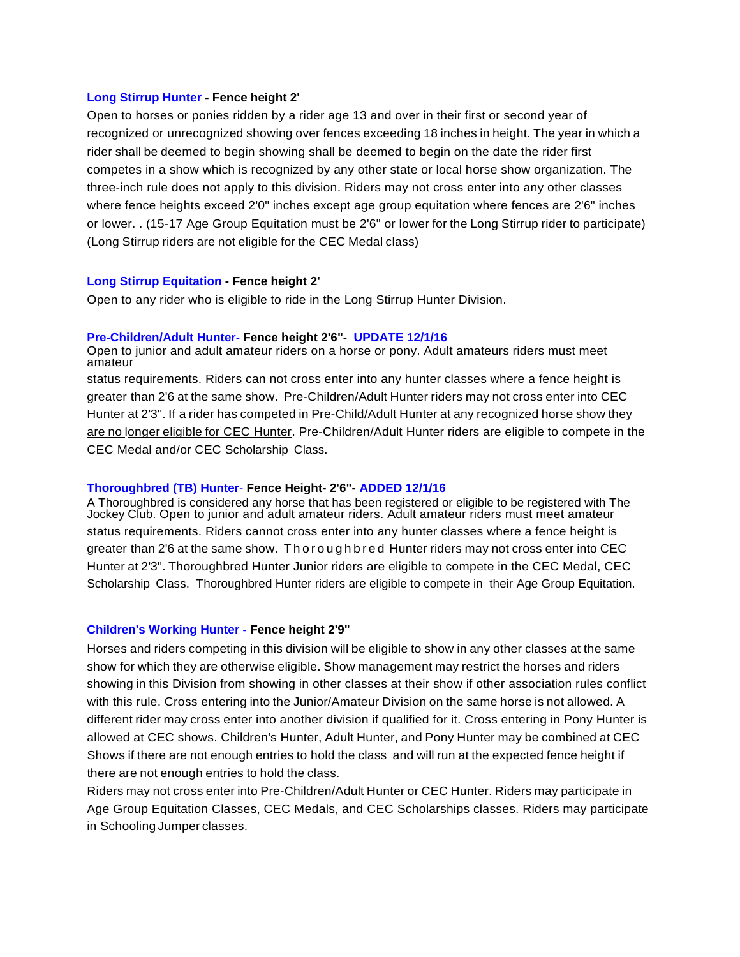#### **Long Stirrup Hunter - Fence height 2'**

Open to horses or ponies ridden by a rider age 13 and over in their first or second year of recognized or unrecognized showing over fences exceeding 18 inches in height. The year in which a rider shall be deemed to begin showing shall be deemed to begin on the date the rider first competes in a show which is recognized by any other state or local horse show organization. The three-inch rule does not apply to this division. Riders may not cross enter into any other classes where fence heights exceed 2'0" inches except age group equitation where fences are 2'6" inches or lower. . (15-17 Age Group Equitation must be 2'6" or lower for the Long Stirrup rider to participate) (Long Stirrup riders are not eligible for the CEC Medal class)

#### **Long Stirrup Equitation - Fence height 2'**

Open to any rider who is eligible to ride in the Long Stirrup Hunter Division.

#### **Pre-Children/Adult Hunter- Fence height 2'6"- UPDATE 12/1/16**

Open to junior and adult amateur riders on a horse or pony. Adult amateurs riders must meet amateur

status requirements. Riders can not cross enter into any hunter classes where a fence height is greater than 2'6 at the same show. Pre-Children/Adult Hunter riders may not cross enter into CEC Hunter at 2'3". If a rider has competed in Pre-Child/Adult Hunter at any recognized horse show they are no longer eligible for CEC Hunter. Pre-Children/Adult Hunter riders are eligible to compete in the CEC Medal and/or CEC Scholarship Class.

#### **Thoroughbred (TB) Hunter**- **Fence Height- 2'6"- ADDED 12/1/16**

A Thoroughbred is considered any horse that has been registered or eligible to be registered with The Jockey Club. Open to junior and adult amateur riders. Adult amateur riders must meet amateur status requirements. Riders cannot cross enter into any hunter classes where a fence height is greater than 2'6 at the same show. Thoroughbred Hunter riders may not cross enter into CEC Hunter at 2'3". Thoroughbred Hunter Junior riders are eligible to compete in the CEC Medal, CEC Scholarship Class. Thoroughbred Hunter riders are eligible to compete in their Age Group Equitation.

#### **Children's Working Hunter - Fence height 2'9"**

Horses and riders competing in this division will be eligible to show in any other classes at the same show for which they are otherwise eligible. Show management may restrict the horses and riders showing in this Division from showing in other classes at their show if other association rules conflict with this rule. Cross entering into the Junior/Amateur Division on the same horse is not allowed. A different rider may cross enter into another division if qualified for it. Cross entering in Pony Hunter is allowed at CEC shows. Children's Hunter, Adult Hunter, and Pony Hunter may be combined at CEC Shows if there are not enough entries to hold the class and will run at the expected fence height if there are not enough entries to hold the class.

Riders may not cross enter into Pre-Children/Adult Hunter or CEC Hunter. Riders may participate in Age Group Equitation Classes, CEC Medals, and CEC Scholarships classes. Riders may participate in Schooling Jumper classes.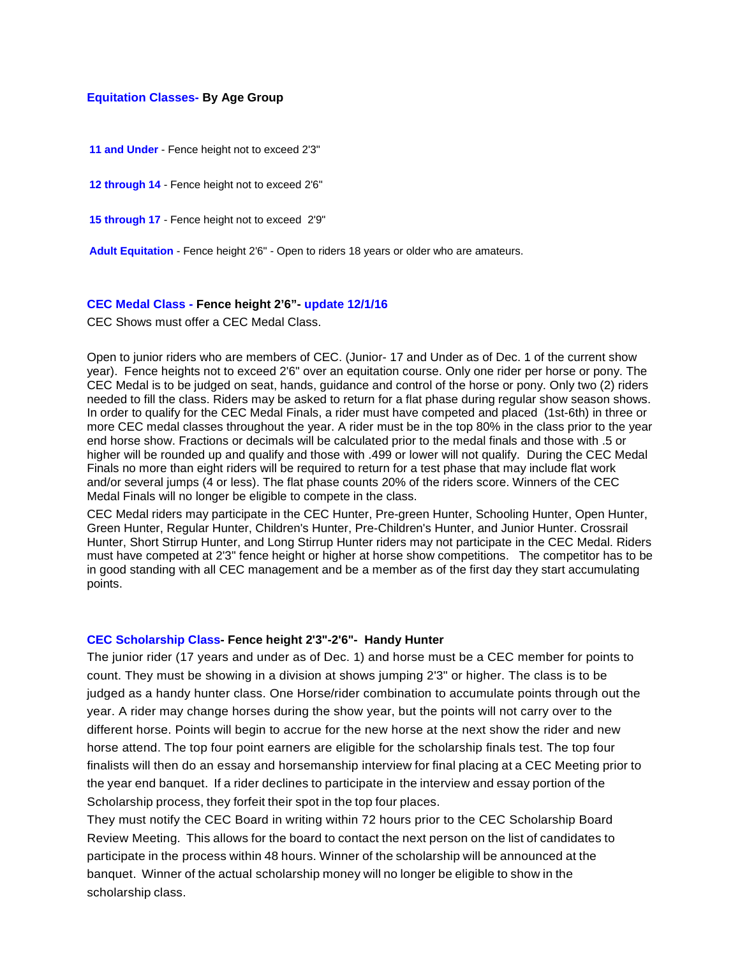## **Equitation Classes- By Age Group**

**11 and Under** - Fence height not to exceed 2'3"

**12 through 14** - Fence height not to exceed 2'6"

**15 through 17** - Fence height not to exceed 2'9"

**Adult Equitation** - Fence height 2'6" - Open to riders 18 years or older who are amateurs.

## **CEC Medal Class - Fence height 2'6"- update 12/1/16**

CEC Shows must offer a CEC Medal Class.

Open to junior riders who are members of CEC. (Junior- 17 and Under as of Dec. 1 of the current show year). Fence heights not to exceed 2'6" over an equitation course. Only one rider per horse or pony. The CEC Medal is to be judged on seat, hands, guidance and control of the horse or pony. Only two (2) riders needed to fill the class. Riders may be asked to return for a flat phase during regular show season shows. In order to qualify for the CEC Medal Finals, a rider must have competed and placed (1st-6th) in three or more CEC medal classes throughout the year. A rider must be in the top 80% in the class prior to the year end horse show. Fractions or decimals will be calculated prior to the medal finals and those with .5 or higher will be rounded up and qualify and those with .499 or lower will not qualify. During the CEC Medal Finals no more than eight riders will be required to return for a test phase that may include flat work and/or several jumps (4 or less). The flat phase counts 20% of the riders score. Winners of the CEC Medal Finals will no longer be eligible to compete in the class.

CEC Medal riders may participate in the CEC Hunter, Pre-green Hunter, Schooling Hunter, Open Hunter, Green Hunter, Regular Hunter, Children's Hunter, Pre-Children's Hunter, and Junior Hunter. Crossrail Hunter, Short Stirrup Hunter, and Long Stirrup Hunter riders may not participate in the CEC Medal. Riders must have competed at 2'3" fence height or higher at horse show competitions. The competitor has to be in good standing with all CEC management and be a member as of the first day they start accumulating points.

#### **CEC Scholarship Class- Fence height 2'3"-2'6"- Handy Hunter**

The junior rider (17 years and under as of Dec. 1) and horse must be a CEC member for points to count. They must be showing in a division at shows jumping 2'3" or higher. The class is to be judged as a handy hunter class. One Horse/rider combination to accumulate points through out the year. A rider may change horses during the show year, but the points will not carry over to the different horse. Points will begin to accrue for the new horse at the next show the rider and new horse attend. The top four point earners are eligible for the scholarship finals test. The top four finalists will then do an essay and horsemanship interview for final placing at a CEC Meeting prior to the year end banquet. If a rider declines to participate in the interview and essay portion of the Scholarship process, they forfeit their spot in the top four places.

They must notify the CEC Board in writing within 72 hours prior to the CEC Scholarship Board Review Meeting. This allows for the board to contact the next person on the list of candidates to participate in the process within 48 hours. Winner of the scholarship will be announced at the banquet. Winner of the actual scholarship money will no longer be eligible to show in the scholarship class.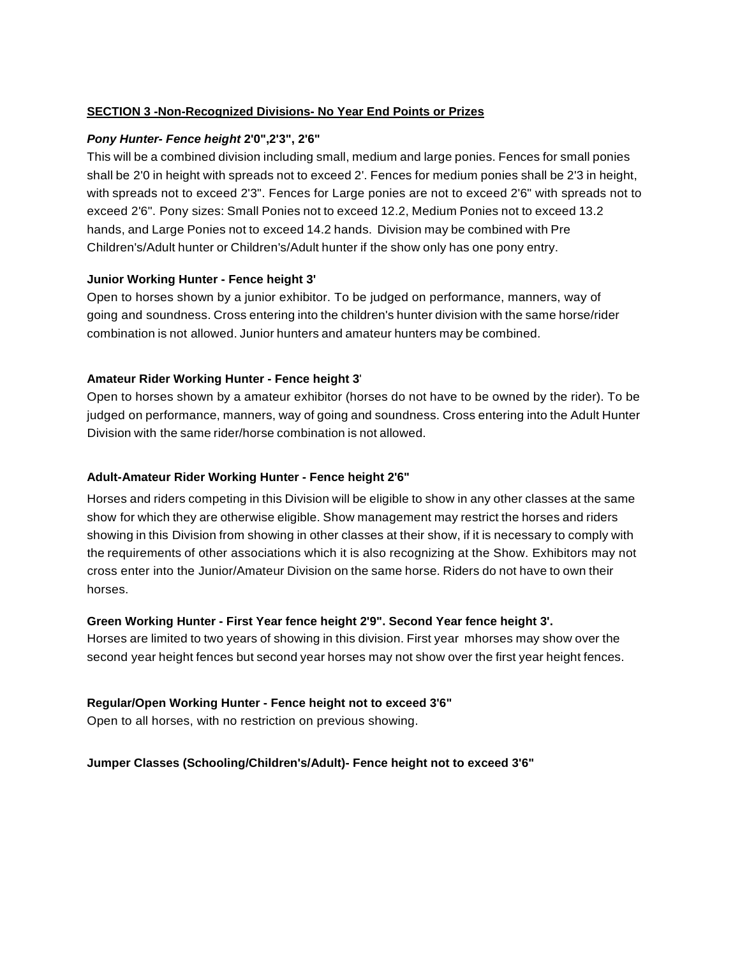## **SECTION 3 -Non-Recognized Divisions- No Year End Points or Prizes**

## *Pony Hunter- Fence height* **2'0",2'3", 2'6"**

This will be a combined division including small, medium and large ponies. Fences for small ponies shall be 2'0 in height with spreads not to exceed 2'. Fences for medium ponies shall be 2'3 in height, with spreads not to exceed 2'3". Fences for Large ponies are not to exceed 2'6" with spreads not to exceed 2'6". Pony sizes: Small Ponies not to exceed 12.2, Medium Ponies not to exceed 13.2 hands, and Large Ponies not to exceed 14.2 hands. Division may be combined with Pre Children's/Adult hunter or Children's/Adult hunter if the show only has one pony entry.

## **Junior Working Hunter - Fence height 3'**

Open to horses shown by a junior exhibitor. To be judged on performance, manners, way of going and soundness. Cross entering into the children's hunter division with the same horse/rider combination is not allowed. Junior hunters and amateur hunters may be combined.

## **Amateur Rider Working Hunter - Fence height 3**'

Open to horses shown by a amateur exhibitor (horses do not have to be owned by the rider). To be judged on performance, manners, way of going and soundness. Cross entering into the Adult Hunter Division with the same rider/horse combination is not allowed.

## **Adult-Amateur Rider Working Hunter - Fence height 2'6"**

Horses and riders competing in this Division will be eligible to show in any other classes at the same show for which they are otherwise eligible. Show management may restrict the horses and riders showing in this Division from showing in other classes at their show, if it is necessary to comply with the requirements of other associations which it is also recognizing at the Show. Exhibitors may not cross enter into the Junior/Amateur Division on the same horse. Riders do not have to own their horses.

#### **Green Working Hunter - First Year fence height 2'9". Second Year fence height 3'.**

Horses are limited to two years of showing in this division. First year mhorses may show over the second year height fences but second year horses may not show over the first year height fences.

#### **Regular/Open Working Hunter - Fence height not to exceed 3'6"**

Open to all horses, with no restriction on previous showing.

#### **Jumper Classes (Schooling/Children's/Adult)- Fence height not to exceed 3'6"**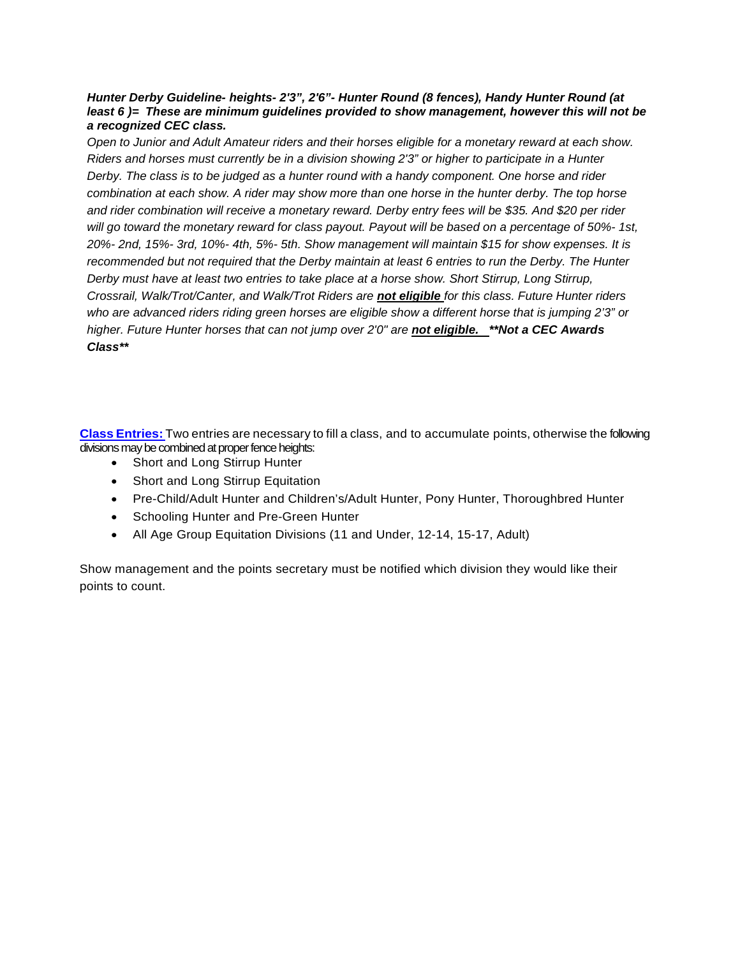## *Hunter Derby Guideline- heights- 2'3", 2'6"- Hunter Round (8 fences), Handy Hunter Round (at least 6 )= These are minimum guidelines provided to show management, however this will not be a recognized CEC class.*

*Open to Junior and Adult Amateur riders and their horses eligible for a monetary reward at each show. Riders and horses must currently be in a division showing 2'3" or higher to participate in a Hunter Derby. The class is to be judged as a hunter round with a handy component. One horse and rider combination at each show. A rider may show more than one horse in the hunter derby. The top horse and rider combination will receive a monetary reward. Derby entry fees will be \$35. And \$20 per rider will go toward the monetary reward for class payout. Payout will be based on a percentage of 50%- 1st, 20%- 2nd, 15%- 3rd, 10%- 4th, 5%- 5th. Show management will maintain \$15 for show expenses. It is recommended but not required that the Derby maintain at least 6 entries to run the Derby. The Hunter Derby must have at least two entries to take place at a horse show. Short Stirrup, Long Stirrup, Crossrail, Walk/Trot/Canter, and Walk/Trot Riders are not eligible for this class. Future Hunter riders who are advanced riders riding green horses are eligible show a different horse that is jumping 2'3" or higher. Future Hunter horses that can not jump over 2'0" are not eligible. \*\*Not a CEC Awards Class\*\**

**Class Entries:** Two entries are necessary to fill a class, and to accumulate points, otherwise the following divisions may be combined at proper fence heights:

- Short and Long Stirrup Hunter
- Short and Long Stirrup Equitation
- Pre-Child/Adult Hunter and Children's/Adult Hunter, Pony Hunter, Thoroughbred Hunter
- Schooling Hunter and Pre-Green Hunter
- All Age Group Equitation Divisions (11 and Under, 12-14, 15-17, Adult)

Show management and the points secretary must be notified which division they would like their points to count.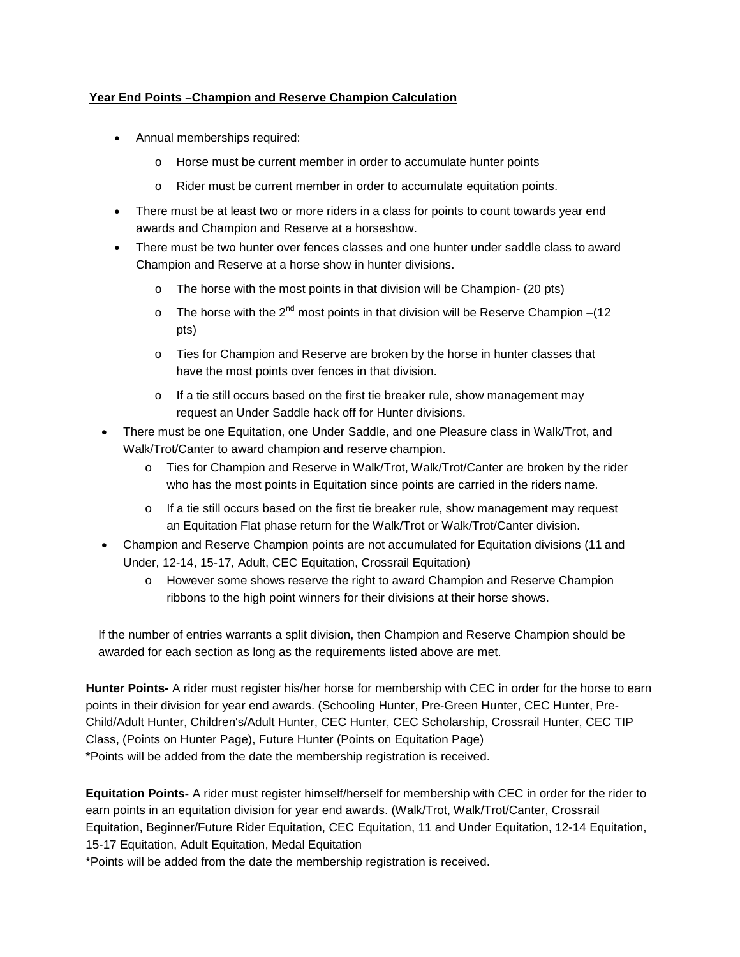## **Year End Points –Champion and Reserve Champion Calculation**

- Annual memberships required:
	- o Horse must be current member in order to accumulate hunter points
	- o Rider must be current member in order to accumulate equitation points.
- There must be at least two or more riders in a class for points to count towards year end awards and Champion and Reserve at a horseshow.
- There must be two hunter over fences classes and one hunter under saddle class to award Champion and Reserve at a horse show in hunter divisions.
	- o The horse with the most points in that division will be Champion- (20 pts)
	- o The horse with the  $2^{nd}$  most points in that division will be Reserve Champion –(12) pts)
	- o Ties for Champion and Reserve are broken by the horse in hunter classes that have the most points over fences in that division.
	- $\circ$  If a tie still occurs based on the first tie breaker rule, show management may request an Under Saddle hack off for Hunter divisions.
- There must be one Equitation, one Under Saddle, and one Pleasure class in Walk/Trot, and Walk/Trot/Canter to award champion and reserve champion.
	- o Ties for Champion and Reserve in Walk/Trot, Walk/Trot/Canter are broken by the rider who has the most points in Equitation since points are carried in the riders name.
	- o If a tie still occurs based on the first tie breaker rule, show management may request an Equitation Flat phase return for the Walk/Trot or Walk/Trot/Canter division.
- Champion and Reserve Champion points are not accumulated for Equitation divisions (11 and Under, 12-14, 15-17, Adult, CEC Equitation, Crossrail Equitation)
	- o However some shows reserve the right to award Champion and Reserve Champion ribbons to the high point winners for their divisions at their horse shows.

If the number of entries warrants a split division, then Champion and Reserve Champion should be awarded for each section as long as the requirements listed above are met.

**Hunter Points-** A rider must register his/her horse for membership with CEC in order for the horse to earn points in their division for year end awards. (Schooling Hunter, Pre-Green Hunter, CEC Hunter, Pre-Child/Adult Hunter, Children's/Adult Hunter, CEC Hunter, CEC Scholarship, Crossrail Hunter, CEC TIP Class, (Points on Hunter Page), Future Hunter (Points on Equitation Page) \*Points will be added from the date the membership registration is received.

**Equitation Points-** A rider must register himself/herself for membership with CEC in order for the rider to earn points in an equitation division for year end awards. (Walk/Trot, Walk/Trot/Canter, Crossrail Equitation, Beginner/Future Rider Equitation, CEC Equitation, 11 and Under Equitation, 12-14 Equitation, 15-17 Equitation, Adult Equitation, Medal Equitation

\*Points will be added from the date the membership registration is received.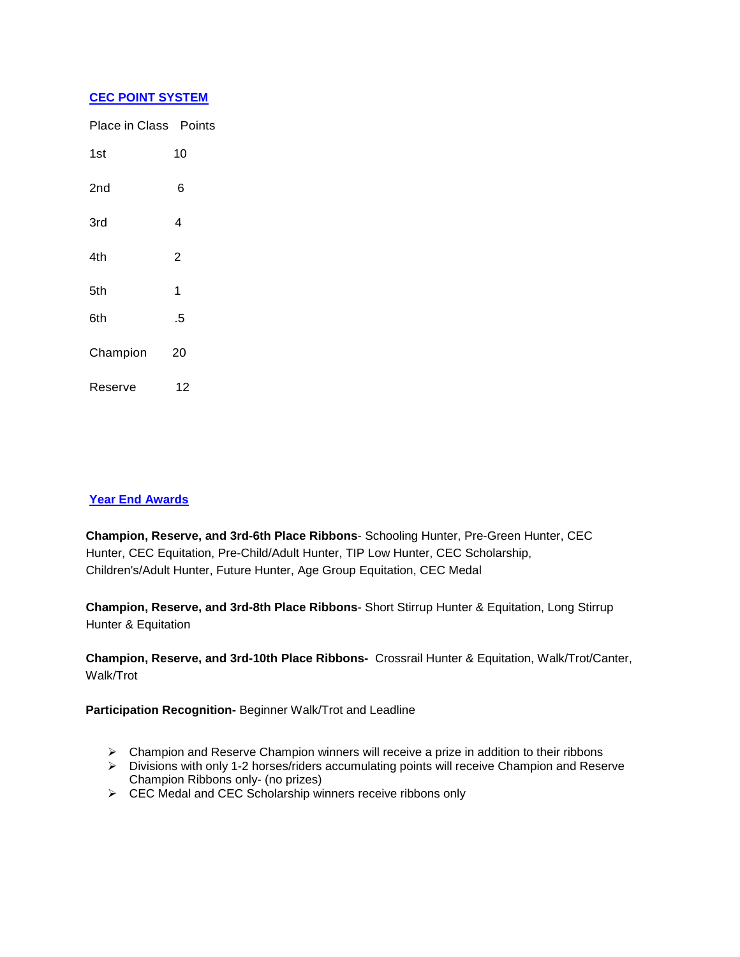## **CEC POINT SYSTEM**

Place in Class Points

1st 10 2nd 6 3rd 4 4th 2 5th 1 6th .5 Champion 20 Reserve 12

## **Year End Awards**

**Champion, Reserve, and 3rd-6th Place Ribbons**- Schooling Hunter, Pre-Green Hunter, CEC Hunter, CEC Equitation, Pre-Child/Adult Hunter, TIP Low Hunter, CEC Scholarship, Children's/Adult Hunter, Future Hunter, Age Group Equitation, CEC Medal

**Champion, Reserve, and 3rd-8th Place Ribbons**- Short Stirrup Hunter & Equitation, Long Stirrup Hunter & Equitation

**Champion, Reserve, and 3rd-10th Place Ribbons-** Crossrail Hunter & Equitation, Walk/Trot/Canter, Walk/Trot

**Participation Recognition-** Beginner Walk/Trot and Leadline

- $\triangleright$  Champion and Reserve Champion winners will receive a prize in addition to their ribbons
- Divisions with only 1-2 horses/riders accumulating points will receive Champion and Reserve Champion Ribbons only- (no prizes)
- $\triangleright$  CEC Medal and CEC Scholarship winners receive ribbons only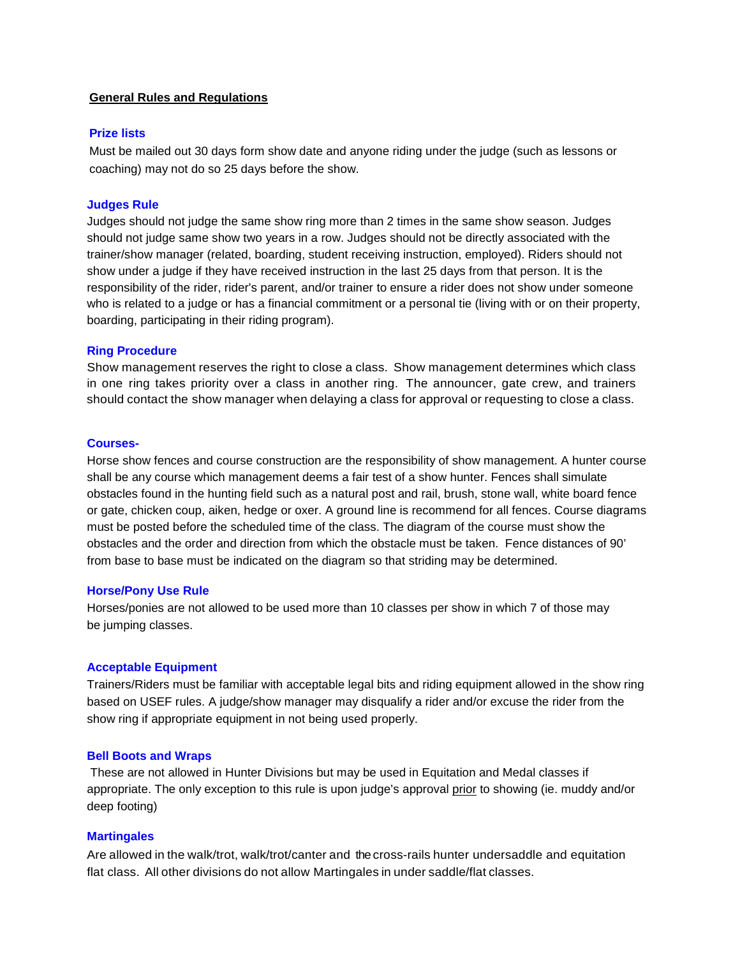#### **General Rules and Regulations**

#### **Prize lists**

Must be mailed out 30 days form show date and anyone riding under the judge (such as lessons or coaching) may not do so 25 days before the show.

#### **Judges Rule**

Judges should not judge the same show ring more than 2 times in the same show season. Judges should not judge same show two years in a row. Judges should not be directly associated with the trainer/show manager (related, boarding, student receiving instruction, employed). Riders should not show under a judge if they have received instruction in the last 25 days from that person. It is the responsibility of the rider, rider's parent, and/or trainer to ensure a rider does not show under someone who is related to a judge or has a financial commitment or a personal tie (living with or on their property, boarding, participating in their riding program).

#### **Ring Procedure**

Show management reserves the right to close a class. Show management determines which class in one ring takes priority over a class in another ring. The announcer, gate crew, and trainers should contact the show manager when delaying a class for approval or requesting to close a class.

#### **Courses-**

Horse show fences and course construction are the responsibility of show management. A hunter course shall be any course which management deems a fair test of a show hunter. Fences shall simulate obstacles found in the hunting field such as a natural post and rail, brush, stone wall, white board fence or gate, chicken coup, aiken, hedge or oxer. A ground line is recommend for all fences. Course diagrams must be posted before the scheduled time of the class. The diagram of the course must show the obstacles and the order and direction from which the obstacle must be taken. Fence distances of 90' from base to base must be indicated on the diagram so that striding may be determined.

#### **Horse/Pony Use Rule**

Horses/ponies are not allowed to be used more than 10 classes per show in which 7 of those may be jumping classes.

#### **Acceptable Equipment**

Trainers/Riders must be familiar with acceptable legal bits and riding equipment allowed in the show ring based on USEF rules. A judge/show manager may disqualify a rider and/or excuse the rider from the show ring if appropriate equipment in not being used properly.

#### **Bell Boots and Wraps**

These are not allowed in Hunter Divisions but may be used in Equitation and Medal classes if appropriate. The only exception to this rule is upon judge's approval prior to showing (ie. muddy and/or deep footing)

## **Martingales**

Are allowed in the walk/trot, walk/trot/canter and the cross-rails hunter undersaddle and equitation flat class. All other divisions do not allow Martingales in under saddle/flat classes.